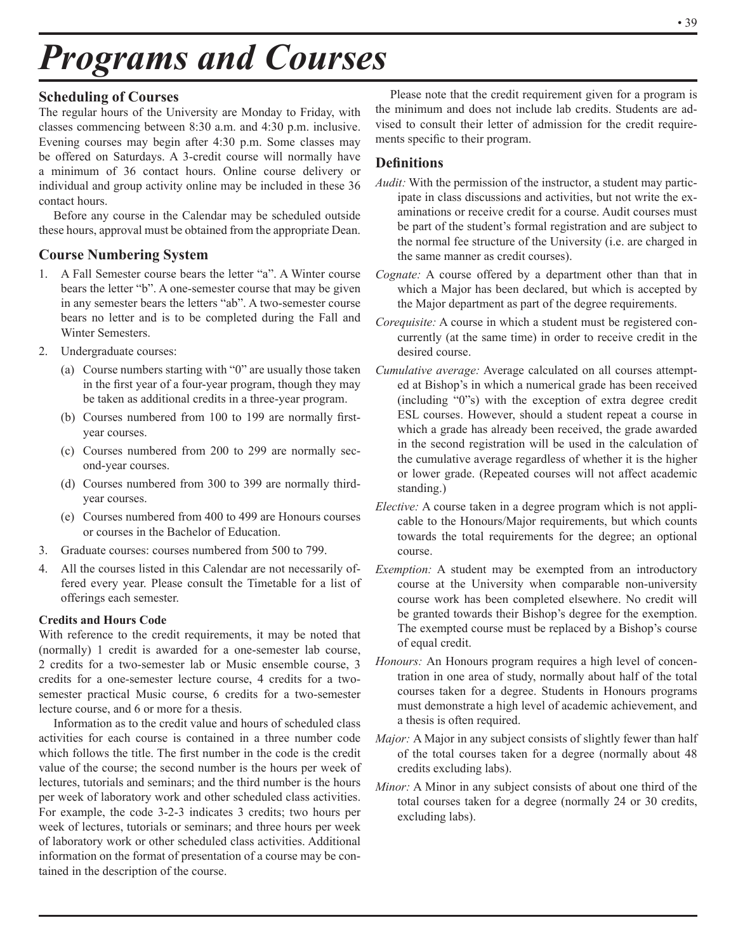# *Programs and Courses*

# **Scheduling of Courses**

The regular hours of the University are Monday to Friday, with classes commencing between 8:30 a.m. and 4:30 p.m. inclusive. Evening courses may begin after 4:30 p.m. Some classes may be offered on Saturdays. A 3-credit course will normally have a minimum of 36 contact hours. Online course delivery or individual and group activity online may be included in these 36 contact hours.

Before any course in the Calendar may be scheduled outside these hours, approval must be obtained from the appropriate Dean.

# **Course Numbering System**

- 1. A Fall Semester course bears the letter "a". A Winter course bears the letter "b". A one-semester course that may be given in any semester bears the letters "ab". A two-semester course bears no letter and is to be completed during the Fall and Winter Semesters.
- 2. Undergraduate courses:
	- (a) Course numbers starting with "0" are usually those taken in the first year of a four-year program, though they may be taken as additional credits in a three-year program.
	- (b) Courses numbered from 100 to 199 are normally firstyear courses.
	- (c) Courses numbered from 200 to 299 are normally second-year courses.
	- (d) Courses numbered from 300 to 399 are normally thirdyear courses.
	- (e) Courses numbered from 400 to 499 are Honours courses or courses in the Bachelor of Education.
- 3. Graduate courses: courses numbered from 500 to 799.
- 4. All the courses listed in this Calendar are not necessarily offered every year. Please consult the Timetable for a list of offerings each semester.

# **Credits and Hours Code**

With reference to the credit requirements, it may be noted that (normally) 1 credit is awarded for a one-semester lab course, 2 credits for a two-semester lab or Music ensemble course, 3 credits for a one-semester lecture course, 4 credits for a twosemester practical Music course, 6 credits for a two-semester lecture course, and 6 or more for a thesis.

Information as to the credit value and hours of scheduled class activities for each course is contained in a three number code which follows the title. The first number in the code is the credit value of the course; the second number is the hours per week of lectures, tutorials and seminars; and the third number is the hours per week of laboratory work and other scheduled class activities. For example, the code 3-2-3 indicates 3 credits; two hours per week of lectures, tutorials or seminars; and three hours per week of laboratory work or other scheduled class activities. Additional information on the format of presentation of a course may be contained in the description of the course.

Please note that the credit requirement given for a program is the minimum and does not include lab credits. Students are advised to consult their letter of admission for the credit requirements specific to their program.

# **Definitions**

- *Audit:* With the permission of the instructor, a student may participate in class discussions and activities, but not write the examinations or receive credit for a course. Audit courses must be part of the student's formal registration and are subject to the normal fee structure of the University (i.e. are charged in the same manner as credit courses).
- *Cognate:* A course offered by a department other than that in which a Major has been declared, but which is accepted by the Major department as part of the degree requirements.
- *Corequisite:* A course in which a student must be registered concurrently (at the same time) in order to receive credit in the desired course.
- *Cumulative average:* Average calculated on all courses attempted at Bishop's in which a numerical grade has been received (including "0"s) with the exception of extra degree credit ESL courses. However, should a student repeat a course in which a grade has already been received, the grade awarded in the second registration will be used in the calculation of the cumulative average regardless of whether it is the higher or lower grade. (Repeated courses will not affect academic standing.)
- *Elective:* A course taken in a degree program which is not applicable to the Honours/Major requirements, but which counts towards the total requirements for the degree; an optional course.
- *Exemption:* A student may be exempted from an introductory course at the University when comparable non-university course work has been completed elsewhere. No credit will be granted towards their Bishop's degree for the exemption. The exempted course must be replaced by a Bishop's course of equal credit.
- *Honours:* An Honours program requires a high level of concentration in one area of study, normally about half of the total courses taken for a degree. Students in Honours programs must demonstrate a high level of academic achievement, and a thesis is often required.
- *Major:* A Major in any subject consists of slightly fewer than half of the total courses taken for a degree (normally about 48 credits excluding labs).
- *Minor:* A Minor in any subject consists of about one third of the total courses taken for a degree (normally 24 or 30 credits, excluding labs).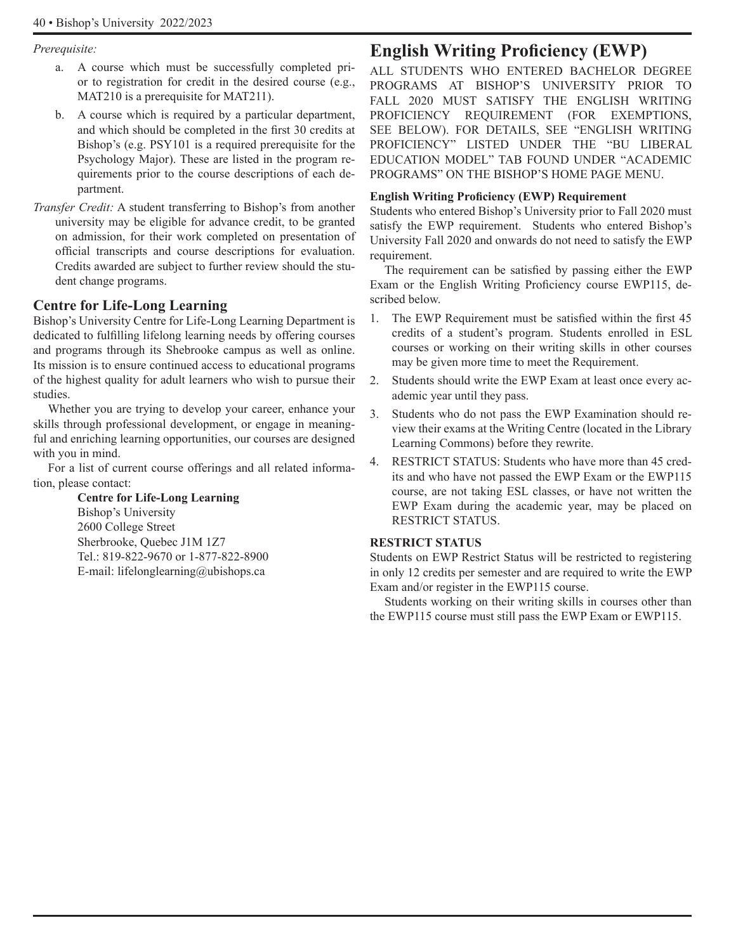#### *Prerequisite:*

- a. A course which must be successfully completed prior to registration for credit in the desired course (e.g., MAT210 is a prerequisite for MAT211).
- b. A course which is required by a particular department, and which should be completed in the first 30 credits at Bishop's (e.g. PSY101 is a required prerequisite for the Psychology Major). These are listed in the program requirements prior to the course descriptions of each department.
- *Transfer Credit:* A student transferring to Bishop's from another university may be eligible for advance credit, to be granted on admission, for their work completed on presentation of official transcripts and course descriptions for evaluation. Credits awarded are subject to further review should the student change programs.

# **Centre for Life-Long Learning**

Bishop's University Centre for Life-Long Learning Department is dedicated to fulfilling lifelong learning needs by offering courses and programs through its Shebrooke campus as well as online. Its mission is to ensure continued access to educational programs of the highest quality for adult learners who wish to pursue their studies.

Whether you are trying to develop your career, enhance your skills through professional development, or engage in meaningful and enriching learning opportunities, our courses are designed with you in mind.

For a list of current course offerings and all related information, please contact:

> **Centre for Life-Long Learning** Bishop's University 2600 College Street Sherbrooke, Quebec J1M 1Z7 Tel.: 819-822-9670 or 1-877-822-8900 E-mail: lifelonglearning@ubishops.ca

# **English Writing Proficiency (EWP)**

ALL STUDENTS WHO ENTERED BACHELOR DEGREE PROGRAMS AT BISHOP'S UNIVERSITY PRIOR TO FALL 2020 MUST SATISFY THE ENGLISH WRITING PROFICIENCY REQUIREMENT (FOR EXEMPTIONS, SEE BELOW). FOR DETAILS, SEE "ENGLISH WRITING PROFICIENCY" LISTED UNDER THE "BU LIBERAL EDUCATION MODEL" TAB FOUND UNDER "ACADEMIC PROGRAMS" ON THE BISHOP'S HOME PAGE MENU.

#### **English Writing Proficiency (EWP) Requirement**

Students who entered Bishop's University prior to Fall 2020 must satisfy the EWP requirement. Students who entered Bishop's University Fall 2020 and onwards do not need to satisfy the EWP requirement.

The requirement can be satisfied by passing either the EWP Exam or the English Writing Proficiency course EWP115, described below.

- 1. The EWP Requirement must be satisfied within the first 45 credits of a student's program. Students enrolled in ESL courses or working on their writing skills in other courses may be given more time to meet the Requirement.
- 2. Students should write the EWP Exam at least once every academic year until they pass.
- 3. Students who do not pass the EWP Examination should review their exams at the Writing Centre (located in the Library Learning Commons) before they rewrite.
- 4. RESTRICT STATUS: Students who have more than 45 credits and who have not passed the EWP Exam or the EWP115 course, are not taking ESL classes, or have not written the EWP Exam during the academic year, may be placed on RESTRICT STATUS.

#### **RESTRICT STATUS**

Students on EWP Restrict Status will be restricted to registering in only 12 credits per semester and are required to write the EWP Exam and/or register in the EWP115 course.

Students working on their writing skills in courses other than the EWP115 course must still pass the EWP Exam or EWP115.